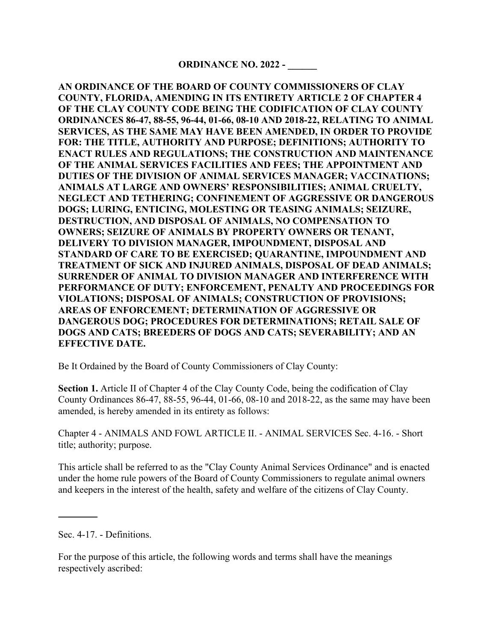**AN ORDINANCE OF THE BOARD OF COUNTY COMMISSIONERS OF CLAY COUNTY, FLORIDA, AMENDING IN ITS ENTIRETY ARTICLE 2 OF CHAPTER 4 OF THE CLAY COUNTY CODE BEING THE CODIFICATION OF CLAY COUNTY ORDINANCES 86-47, 88-55, 96-44, 01-66, 08-10 AND 2018-22, RELATING TO ANIMAL SERVICES, AS THE SAME MAY HAVE BEEN AMENDED, IN ORDER TO PROVIDE FOR: THE TITLE, AUTHORITY AND PURPOSE; DEFINITIONS; AUTHORITY TO ENACT RULES AND REGULATIONS; THE CONSTRUCTION AND MAINTENANCE OF THE ANIMAL SERVICES FACILITIES AND FEES; THE APPOINTMENT AND DUTIES OF THE DIVISION OF ANIMAL SERVICES MANAGER; VACCINATIONS; ANIMALS AT LARGE AND OWNERS' RESPONSIBILITIES; ANIMAL CRUELTY, NEGLECT AND TETHERING; CONFINEMENT OF AGGRESSIVE OR DANGEROUS DOGS; LURING, ENTICING, MOLESTING OR TEASING ANIMALS; SEIZURE, DESTRUCTION, AND DISPOSAL OF ANIMALS, NO COMPENSATION TO OWNERS; SEIZURE OF ANIMALS BY PROPERTY OWNERS OR TENANT, DELIVERY TO DIVISION MANAGER, IMPOUNDMENT, DISPOSAL AND STANDARD OF CARE TO BE EXERCISED; QUARANTINE, IMPOUNDMENT AND TREATMENT OF SICK AND INJURED ANIMALS, DISPOSAL OF DEAD ANIMALS; SURRENDER OF ANIMAL TO DIVISION MANAGER AND INTERFERENCE WITH PERFORMANCE OF DUTY; ENFORCEMENT, PENALTY AND PROCEEDINGS FOR VIOLATIONS; DISPOSAL OF ANIMALS; CONSTRUCTION OF PROVISIONS; AREAS OF ENFORCEMENT; DETERMINATION OF AGGRESSIVE OR DANGEROUS DOG; PROCEDURES FOR DETERMINATIONS; RETAIL SALE OF DOGS AND CATS; BREEDERS OF DOGS AND CATS; SEVERABILITY; AND AN EFFECTIVE DATE.** 

Be It Ordained by the Board of County Commissioners of Clay County:

**Section 1.** Article II of Chapter 4 of the Clay County Code, being the codification of Clay County Ordinances 86-47, 88-55, 96-44, 01-66, 08-10 and 2018-22, as the same may have been amended, is hereby amended in its entirety as follows:

Chapter 4 - ANIMALS AND FOWL ARTICLE II. - ANIMAL SERVICES Sec. 4-16. - Short title; authority; purpose.

This article shall be referred to as the "Clay County Animal Services Ordinance" and is enacted under the home rule powers of the Board of County Commissioners to regulate animal owners and keepers in the interest of the health, safety and welfare of the citizens of Clay County.

Sec. 4-17. - Definitions.

For the purpose of this article, the following words and terms shall have the meanings respectively ascribed: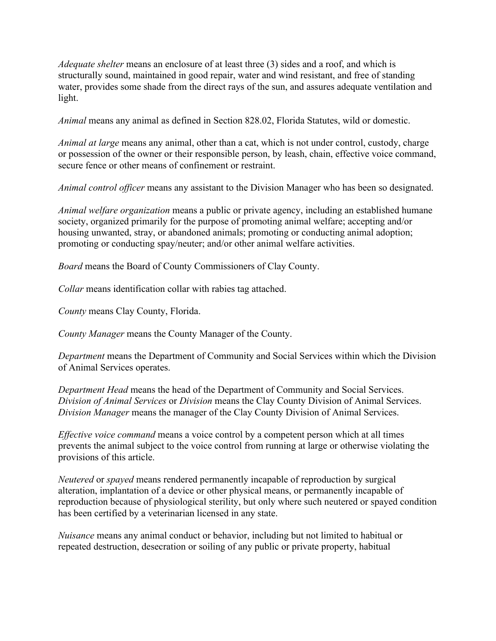*Adequate shelter* means an enclosure of at least three (3) sides and a roof, and which is structurally sound, maintained in good repair, water and wind resistant, and free of standing water, provides some shade from the direct rays of the sun, and assures adequate ventilation and light.

*Animal* means any animal as defined in Section 828.02, Florida Statutes, wild or domestic.

*Animal at large* means any animal, other than a cat, which is not under control, custody, charge or possession of the owner or their responsible person, by leash, chain, effective voice command, secure fence or other means of confinement or restraint.

*Animal control officer* means any assistant to the Division Manager who has been so designated.

*Animal welfare organization* means a public or private agency, including an established humane society, organized primarily for the purpose of promoting animal welfare; accepting and/or housing unwanted, stray, or abandoned animals; promoting or conducting animal adoption; promoting or conducting spay/neuter; and/or other animal welfare activities.

*Board* means the Board of County Commissioners of Clay County.

*Collar* means identification collar with rabies tag attached.

*County* means Clay County, Florida.

*County Manager* means the County Manager of the County.

*Department* means the Department of Community and Social Services within which the Division of Animal Services operates.

*Department Head* means the head of the Department of Community and Social Services. *Division of Animal Services* or *Division* means the Clay County Division of Animal Services. *Division Manager* means the manager of the Clay County Division of Animal Services.

*Effective voice command* means a voice control by a competent person which at all times prevents the animal subject to the voice control from running at large or otherwise violating the provisions of this article.

*Neutered* or *spayed* means rendered permanently incapable of reproduction by surgical alteration, implantation of a device or other physical means, or permanently incapable of reproduction because of physiological sterility, but only where such neutered or spayed condition has been certified by a veterinarian licensed in any state.

*Nuisance* means any animal conduct or behavior, including but not limited to habitual or repeated destruction, desecration or soiling of any public or private property, habitual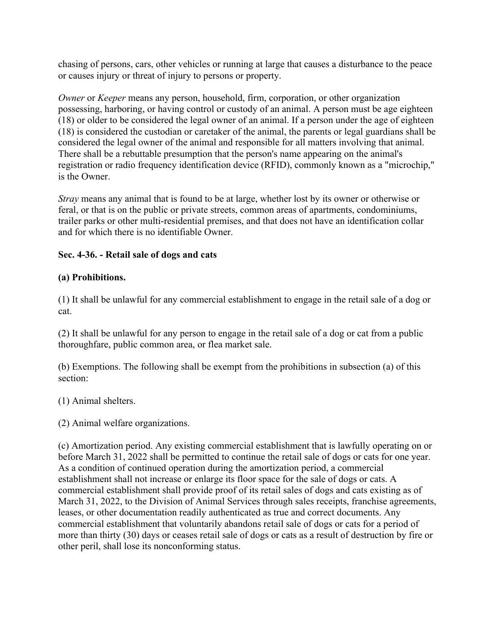chasing of persons, cars, other vehicles or running at large that causes a disturbance to the peace or causes injury or threat of injury to persons or property.

*Owner* or *Keeper* means any person, household, firm, corporation, or other organization possessing, harboring, or having control or custody of an animal. A person must be age eighteen (18) or older to be considered the legal owner of an animal. If a person under the age of eighteen (18) is considered the custodian or caretaker of the animal, the parents or legal guardians shall be considered the legal owner of the animal and responsible for all matters involving that animal. There shall be a rebuttable presumption that the person's name appearing on the animal's registration or radio frequency identification device (RFID), commonly known as a "microchip," is the Owner.

*Stray* means any animal that is found to be at large, whether lost by its owner or otherwise or feral, or that is on the public or private streets, common areas of apartments, condominiums, trailer parks or other multi-residential premises, and that does not have an identification collar and for which there is no identifiable Owner.

## **Sec. 4-36. - Retail sale of dogs and cats**

## **(a) Prohibitions.**

(1) It shall be unlawful for any commercial establishment to engage in the retail sale of a dog or cat.

(2) It shall be unlawful for any person to engage in the retail sale of a dog or cat from a public thoroughfare, public common area, or flea market sale.

(b) Exemptions. The following shall be exempt from the prohibitions in subsection (a) of this section:

(1) Animal shelters.

(2) Animal welfare organizations.

(c) Amortization period. Any existing commercial establishment that is lawfully operating on or before March 31, 2022 shall be permitted to continue the retail sale of dogs or cats for one year. As a condition of continued operation during the amortization period, a commercial establishment shall not increase or enlarge its floor space for the sale of dogs or cats. A commercial establishment shall provide proof of its retail sales of dogs and cats existing as of March 31, 2022, to the Division of Animal Services through sales receipts, franchise agreements, leases, or other documentation readily authenticated as true and correct documents. Any commercial establishment that voluntarily abandons retail sale of dogs or cats for a period of more than thirty (30) days or ceases retail sale of dogs or cats as a result of destruction by fire or other peril, shall lose its nonconforming status.